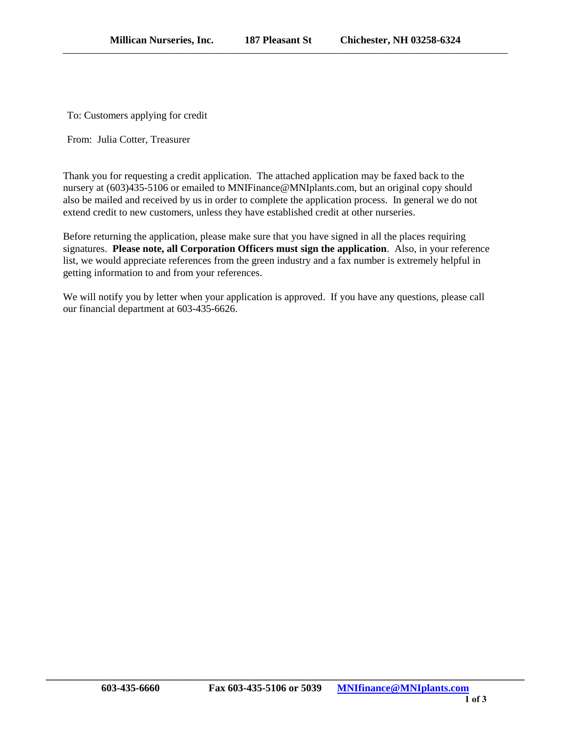To: Customers applying for credit

From: Julia Cotter, Treasurer

Thank you for requesting a credit application. The attached application may be faxed back to the nursery at (603)435-5106 or emailed to MNIFinance@MNIplants.com, but an original copy should also be mailed and received by us in order to complete the application process. In general we do not extend credit to new customers, unless they have established credit at other nurseries.

Before returning the application, please make sure that you have signed in all the places requiring signatures. **Please note, all Corporation Officers must sign the application**. Also, in your reference list, we would appreciate references from the green industry and a fax number is extremely helpful in getting information to and from your references.

We will notify you by letter when your application is approved. If you have any questions, please call our financial department at 603-435-6626.

**\_\_\_\_\_\_\_\_\_\_\_\_\_\_\_\_\_\_\_\_\_\_\_\_\_\_\_\_\_\_\_\_\_\_\_\_\_\_\_\_\_\_\_\_\_\_\_\_\_\_\_\_\_\_\_\_\_\_\_\_\_\_\_\_\_\_\_\_\_\_\_\_\_\_\_\_\_\_\_\_\_\_\_\_\_\_\_\_\_\_\_\_\_**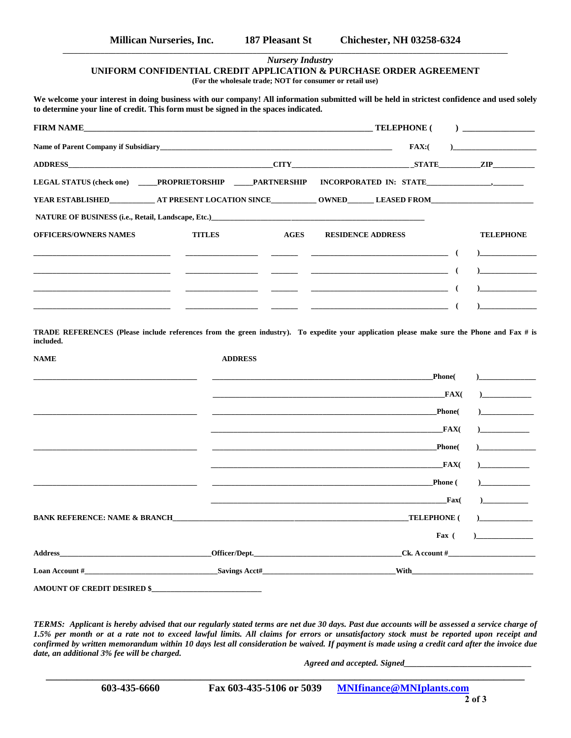## *Nursery Industry* **UNIFORM CONFIDENTIAL CREDIT APPLICATION & PURCHASE ORDER AGREEMENT (For the wholesale trade; NOT for consumer or retail use)**

**\_\_\_\_\_\_\_\_\_\_\_\_\_\_\_\_\_\_\_\_\_\_\_\_\_\_\_\_\_\_\_\_\_\_\_\_\_\_\_\_\_\_\_\_\_\_\_\_\_\_\_\_\_\_\_\_\_\_\_\_\_\_\_\_\_\_\_\_\_\_\_\_\_\_\_\_\_\_\_\_\_\_\_\_\_\_\_\_\_\_\_\_\_\_\_\_\_\_\_\_\_\_\_\_\_\_\_\_\_\_\_\_\_\_\_\_\_**

**We welcome your interest in doing business with our company! All information submitted will be held in strictest confidence and used solely to determine your line of credit. This form must be signed in the spaces indicated.**

| <b>FIRM NAME</b>                                                                                                                                                                                                                                |                |             | <b>TELEPHONE</b> (                                                                                                     | $\mathcal{L}$      | <u>_______________________________</u>                                                                                                                                                                                                                                                                                                                      |
|-------------------------------------------------------------------------------------------------------------------------------------------------------------------------------------------------------------------------------------------------|----------------|-------------|------------------------------------------------------------------------------------------------------------------------|--------------------|-------------------------------------------------------------------------------------------------------------------------------------------------------------------------------------------------------------------------------------------------------------------------------------------------------------------------------------------------------------|
|                                                                                                                                                                                                                                                 |                |             | FAX:                                                                                                                   |                    | the company of the company of the                                                                                                                                                                                                                                                                                                                           |
| CITY STATE ZIP<br>ADDRESS AND ARRAIGNMENT CONTROL AND THE STATE OF THE STATE OF THE STATE OF THE STATE OF THE STATE OF THE STATE OF THE STATE OF THE STATE OF THE STATE OF THE STATE OF THE STATE OF THE STATE OF THE STATE OF THE STATE OF THE |                |             |                                                                                                                        |                    |                                                                                                                                                                                                                                                                                                                                                             |
| LEGAL STATUS (check one) PROPRIETORSHIP PARTNERSHIP                                                                                                                                                                                             |                |             | INCORPORATED IN: STATE 1999.                                                                                           |                    |                                                                                                                                                                                                                                                                                                                                                             |
|                                                                                                                                                                                                                                                 |                |             |                                                                                                                        |                    |                                                                                                                                                                                                                                                                                                                                                             |
| NATURE OF BUSINESS (i.e., Retail, Landscape, Etc.)                                                                                                                                                                                              |                |             |                                                                                                                        |                    |                                                                                                                                                                                                                                                                                                                                                             |
| <b>OFFICERS/OWNERS NAMES</b>                                                                                                                                                                                                                    | <b>TITLES</b>  | <b>AGES</b> | <b>RESIDENCE ADDRESS</b>                                                                                               |                    | <b>TELEPHONE</b>                                                                                                                                                                                                                                                                                                                                            |
|                                                                                                                                                                                                                                                 |                |             | <u> 1980 - Johann Barn, mars eta bainar eta industrial eta erromana eta erromana eta erromana eta erromana eta e</u>   | $\sqrt{2}$         | $\begin{array}{c} \rule{0.2cm}{0.15mm} \begin{array}{ccc} \rule{0.2cm}{0.15mm} \rule{0.2cm}{0.15mm} \rule{0.2cm}{0.15mm} \rule{0.2cm}{0.15mm} \rule{0.2cm}{0.15mm} \rule{0.2cm}{0.15mm} \rule{0.2cm}{0.15mm} \rule{0.2cm}{0.15mm} \rule{0.2cm}{0.15mm} \rule{0.2cm}{0.15mm} \rule{0.2cm}{0.15mm} \rule{0.2cm}{0.15mm} \rule{0.2cm}{0.15mm} \rule{0.2cm}{0.$ |
|                                                                                                                                                                                                                                                 |                |             |                                                                                                                        | -6                 | $\overline{a}$                                                                                                                                                                                                                                                                                                                                              |
|                                                                                                                                                                                                                                                 |                |             | <u> 1999 - Johann John Stone, mars et al. 1999 - John Stone, mars et al. 1999 - John Stone, mars et al. 1999 - Joh</u> | - (                |                                                                                                                                                                                                                                                                                                                                                             |
|                                                                                                                                                                                                                                                 |                |             |                                                                                                                        |                    |                                                                                                                                                                                                                                                                                                                                                             |
| <b>NAME</b>                                                                                                                                                                                                                                     | <b>ADDRESS</b> |             |                                                                                                                        | Phone(             | $\overline{a}$                                                                                                                                                                                                                                                                                                                                              |
|                                                                                                                                                                                                                                                 |                |             |                                                                                                                        |                    |                                                                                                                                                                                                                                                                                                                                                             |
|                                                                                                                                                                                                                                                 |                |             |                                                                                                                        | FAX(               | $\frac{1}{2}$ and $\frac{1}{2}$ and $\frac{1}{2}$ and $\frac{1}{2}$ and $\frac{1}{2}$ and $\frac{1}{2}$ and $\frac{1}{2}$ and $\frac{1}{2}$ and $\frac{1}{2}$ and $\frac{1}{2}$ and $\frac{1}{2}$ and $\frac{1}{2}$ and $\frac{1}{2}$ and $\frac{1}{2}$ and $\frac{1}{2}$ and $\frac{1}{2}$ a                                                               |
|                                                                                                                                                                                                                                                 |                |             |                                                                                                                        | <b>Phone</b>       | $\overline{\phantom{a}}$                                                                                                                                                                                                                                                                                                                                    |
|                                                                                                                                                                                                                                                 |                |             |                                                                                                                        | FAX(               |                                                                                                                                                                                                                                                                                                                                                             |
|                                                                                                                                                                                                                                                 |                |             |                                                                                                                        | <b>Phone</b>       | $\sqrt{2}$                                                                                                                                                                                                                                                                                                                                                  |
|                                                                                                                                                                                                                                                 |                |             |                                                                                                                        | FAX(               | $\mathbf{C}$                                                                                                                                                                                                                                                                                                                                                |
|                                                                                                                                                                                                                                                 |                |             |                                                                                                                        | <b>Phone</b> (     | $\overline{\phantom{a}}$                                                                                                                                                                                                                                                                                                                                    |
|                                                                                                                                                                                                                                                 |                |             |                                                                                                                        | $\mathbf{Fax}$ (   | $\mathbf{C}$                                                                                                                                                                                                                                                                                                                                                |
| <b>BANK REFERENCE: NAME &amp; BRANCH EXECUTE AND RESIDENCE AND RESIDENCE AND RESIDENCE AND RESIDENCE AND RESIDENCE AND RESIDENCE AND RESIDENCE AND RESIDENCE AND RESIDENCE AND RESIDENCE AND RESIDENCE AND RESIDENCE AND RESIDENCE A</b>        |                |             |                                                                                                                        | <b>TELEPHONE</b> ( |                                                                                                                                                                                                                                                                                                                                                             |
|                                                                                                                                                                                                                                                 |                |             |                                                                                                                        | Fax $($            | $\begin{array}{c} \hline \end{array}$                                                                                                                                                                                                                                                                                                                       |
| <b>Address</b>                                                                                                                                                                                                                                  |                |             | Officer/Dept.                                                                                                          |                    | Ck. A covunt #                                                                                                                                                                                                                                                                                                                                              |
| Loan Account #                                                                                                                                                                                                                                  |                |             | With                                                                                                                   |                    |                                                                                                                                                                                                                                                                                                                                                             |
| <b>AMOUNT OF CREDIT DESIRED \$</b>                                                                                                                                                                                                              |                |             |                                                                                                                        |                    |                                                                                                                                                                                                                                                                                                                                                             |

*TERMS: Applicant is hereby advised that our regularly stated terms are net due 30 days. Past due accounts will be assessed a service charge of 1.5% per month or at a rate not to exceed lawful limits. All claims for errors or unsatisfactory stock must be reported upon receipt and confirmed by written memorandum within 10 days lest all consideration be waived. If payment is made using a credit card after the invoice due date, an additional 3% fee will be charged.*

**\_\_\_\_\_\_\_\_\_\_\_\_\_\_\_\_\_\_\_\_\_\_\_\_\_\_\_\_\_\_\_\_\_\_\_\_\_\_\_\_\_\_\_\_\_\_\_\_\_\_\_\_\_\_\_\_\_\_\_\_\_\_\_\_\_\_\_\_\_\_\_\_\_\_\_\_\_\_\_\_\_\_\_\_\_\_\_\_\_\_\_\_\_**

*Agreed and accepted. Signed\_\_\_\_\_\_\_\_\_\_\_\_\_\_\_\_\_\_\_\_\_\_\_\_\_\_\_\_\_\_*